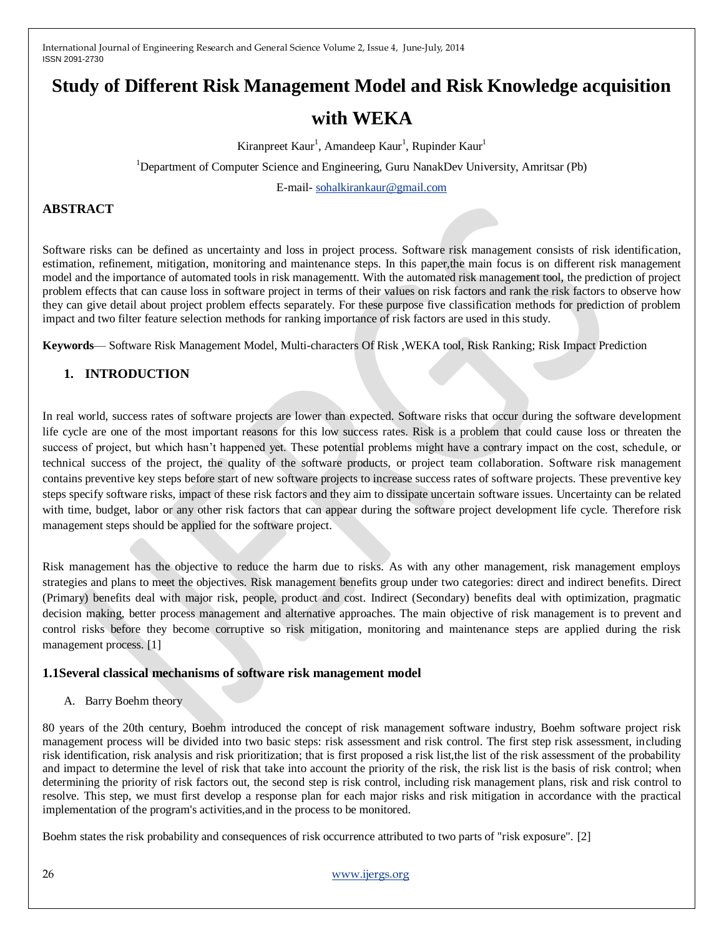# **Study of Different Risk Management Model and Risk Knowledge acquisition**

# **with WEKA**

Kiranpreet Kaur<sup>1</sup>, Amandeep Kaur<sup>1</sup>, Rupinder Kaur<sup>1</sup>

<sup>1</sup>Department of Computer Science and Engineering, Guru NanakDev University, Amritsar (Pb)

E-mail- [sohalkirankaur@gmail.com](mailto:sohalkirankaur@gmail.com)

# **ABSTRACT**

Software risks can be defined as uncertainty and loss in project process. Software risk management consists of risk identification, estimation, refinement, mitigation, monitoring and maintenance steps. In this paper,the main focus is on different risk management model and the importance of automated tools in risk managementt. With the automated risk management tool, the prediction of project problem effects that can cause loss in software project in terms of their values on risk factors and rank the risk factors to observe how they can give detail about project problem effects separately. For these purpose five classification methods for prediction of problem impact and two filter feature selection methods for ranking importance of risk factors are used in this study.

**Keywords**— Software Risk Management Model, Multi-characters Of Risk ,WEKA tool, Risk Ranking; Risk Impact Prediction

# **1. INTRODUCTION**

In real world, success rates of software projects are lower than expected. Software risks that occur during the software development life cycle are one of the most important reasons for this low success rates. Risk is a problem that could cause loss or threaten the success of project, but which hasn't happened yet. These potential problems might have a contrary impact on the cost, schedule, or technical success of the project, the quality of the software products, or project team collaboration. Software risk management contains preventive key steps before start of new software projects to increase success rates of software projects. These preventive key steps specify software risks, impact of these risk factors and they aim to dissipate uncertain software issues. Uncertainty can be related with time, budget, labor or any other risk factors that can appear during the software project development life cycle. Therefore risk management steps should be applied for the software project.

Risk management has the objective to reduce the harm due to risks. As with any other management, risk management employs strategies and plans to meet the objectives. Risk management benefits group under two categories: direct and indirect benefits. Direct (Primary) benefits deal with major risk, people, product and cost. Indirect (Secondary) benefits deal with optimization, pragmatic decision making, better process management and alternative approaches. The main objective of risk management is to prevent and control risks before they become corruptive so risk mitigation, monitoring and maintenance steps are applied during the risk management process. [1]

## **1.1Several classical mechanisms of software risk management model**

A. Barry Boehm theory

80 years of the 20th century, Boehm introduced the concept of risk management software industry, Boehm software project risk management process will be divided into two basic steps: risk assessment and risk control. The first step risk assessment, including risk identification, risk analysis and risk prioritization; that is first proposed a risk list,the list of the risk assessment of the probability and impact to determine the level of risk that take into account the priority of the risk, the risk list is the basis of risk control; when determining the priority of risk factors out, the second step is risk control, including risk management plans, risk and risk control to resolve. This step, we must first develop a response plan for each major risks and risk mitigation in accordance with the practical implementation of the program's activities,and in the process to be monitored.

Boehm states the risk probability and consequences of risk occurrence attributed to two parts of "risk exposure". [2]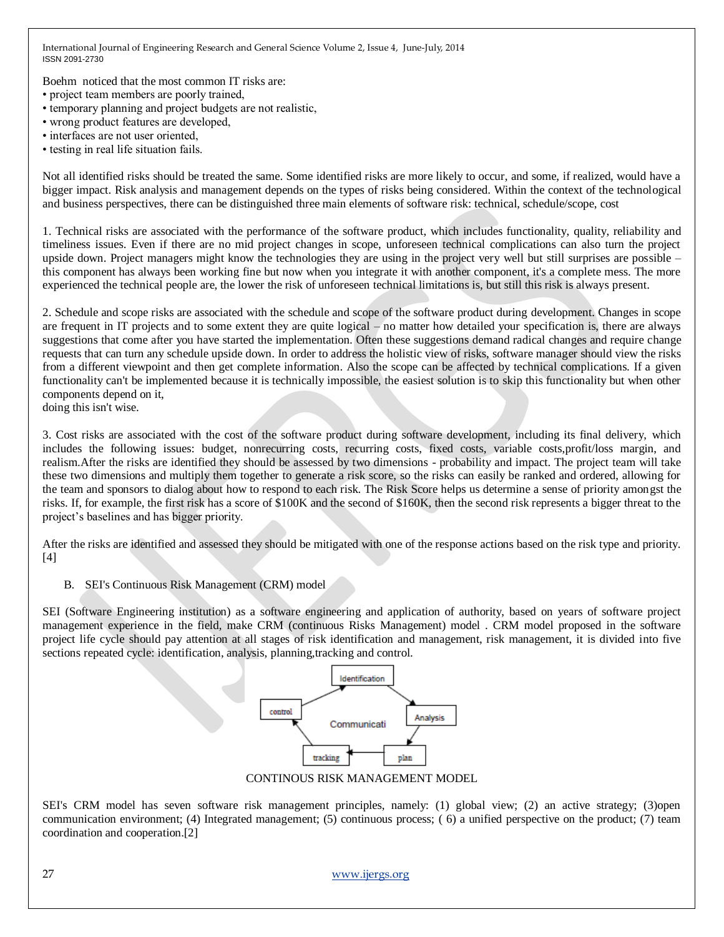Boehm noticed that the most common IT risks are:

- project team members are poorly trained.
- temporary planning and project budgets are not realistic,
- wrong product features are developed,
- interfaces are not user oriented,
- testing in real life situation fails.

Not all identified risks should be treated the same. Some identified risks are more likely to occur, and some, if realized, would have a bigger impact. Risk analysis and management depends on the types of risks being considered. Within the context of the technological and business perspectives, there can be distinguished three main elements of software risk: technical, schedule/scope, cost

1. Technical risks are associated with the performance of the software product, which includes functionality, quality, reliability and timeliness issues. Even if there are no mid project changes in scope, unforeseen technical complications can also turn the project upside down. Project managers might know the technologies they are using in the project very well but still surprises are possible – this component has always been working fine but now when you integrate it with another component, it's a complete mess. The more experienced the technical people are, the lower the risk of unforeseen technical limitations is, but still this risk is always present.

2. Schedule and scope risks are associated with the schedule and scope of the software product during development. Changes in scope are frequent in IT projects and to some extent they are quite logical – no matter how detailed your specification is, there are always suggestions that come after you have started the implementation. Often these suggestions demand radical changes and require change requests that can turn any schedule upside down. In order to address the holistic view of risks, software manager should view the risks from a different viewpoint and then get complete information. Also the scope can be affected by technical complications. If a given functionality can't be implemented because it is technically impossible, the easiest solution is to skip this functionality but when other components depend on it,

doing this isn't wise.

3. Cost risks are associated with the cost of the software product during software development, including its final delivery, which includes the following issues: budget, nonrecurring costs, recurring costs, fixed costs, variable costs,profit/loss margin, and realism.After the risks are identified they should be assessed by two dimensions - probability and impact. The project team will take these two dimensions and multiply them together to generate a risk score, so the risks can easily be ranked and ordered, allowing for the team and sponsors to dialog about how to respond to each risk. The Risk Score helps us determine a sense of priority amongst the risks. If, for example, the first risk has a score of \$100K and the second of \$160K, then the second risk represents a bigger threat to the project's baselines and has bigger priority.

After the risks are identified and assessed they should be mitigated with one of the response actions based on the risk type and priority. [4]

B. SEI's Continuous Risk Management (CRM) model

SEI (Software Engineering institution) as a software engineering and application of authority, based on years of software project management experience in the field, make CRM (continuous Risks Management) model . CRM model proposed in the software project life cycle should pay attention at all stages of risk identification and management, risk management, it is divided into five sections repeated cycle: identification, analysis, planning,tracking and control.



CONTINOUS RISK MANAGEMENT MODEL

SEI's CRM model has seven software risk management principles, namely: (1) global view; (2) an active strategy; (3)open communication environment; (4) Integrated management; (5) continuous process; ( 6) a unified perspective on the product; (7) team coordination and cooperation.[2]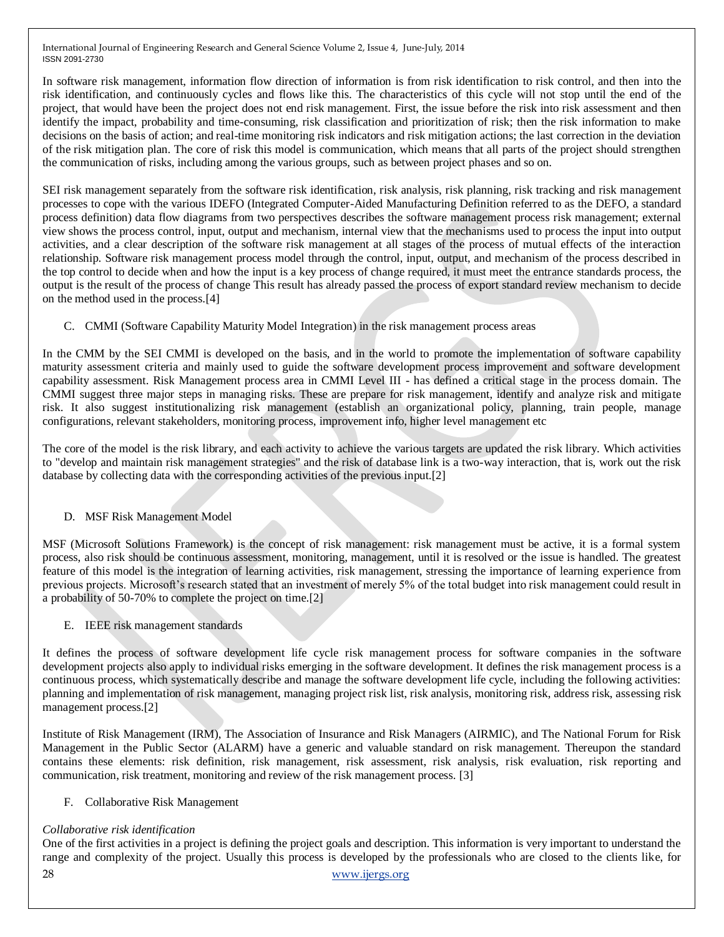In software risk management, information flow direction of information is from risk identification to risk control, and then into the risk identification, and continuously cycles and flows like this. The characteristics of this cycle will not stop until the end of the project, that would have been the project does not end risk management. First, the issue before the risk into risk assessment and then identify the impact, probability and time-consuming, risk classification and prioritization of risk; then the risk information to make decisions on the basis of action; and real-time monitoring risk indicators and risk mitigation actions; the last correction in the deviation of the risk mitigation plan. The core of risk this model is communication, which means that all parts of the project should strengthen the communication of risks, including among the various groups, such as between project phases and so on.

SEI risk management separately from the software risk identification, risk analysis, risk planning, risk tracking and risk management processes to cope with the various IDEFO (Integrated Computer-Aided Manufacturing Definition referred to as the DEFO, a standard process definition) data flow diagrams from two perspectives describes the software management process risk management; external view shows the process control, input, output and mechanism, internal view that the mechanisms used to process the input into output activities, and a clear description of the software risk management at all stages of the process of mutual effects of the interaction relationship. Software risk management process model through the control, input, output, and mechanism of the process described in the top control to decide when and how the input is a key process of change required, it must meet the entrance standards process, the output is the result of the process of change This result has already passed the process of export standard review mechanism to decide on the method used in the process.[4]

## C. CMMI (Software Capability Maturity Model Integration) in the risk management process areas

In the CMM by the SEI CMMI is developed on the basis, and in the world to promote the implementation of software capability maturity assessment criteria and mainly used to guide the software development process improvement and software development capability assessment. Risk Management process area in CMMI Level III - has defined a critical stage in the process domain. The CMMI suggest three major steps in managing risks. These are prepare for risk management, identify and analyze risk and mitigate risk. It also suggest institutionalizing risk management (establish an organizational policy, planning, train people, manage configurations, relevant stakeholders, monitoring process, improvement info, higher level management etc

The core of the model is the risk library, and each activity to achieve the various targets are updated the risk library. Which activities to "develop and maintain risk management strategies" and the risk of database link is a two-way interaction, that is, work out the risk database by collecting data with the corresponding activities of the previous input.[2]

#### D. MSF Risk Management Model

MSF (Microsoft Solutions Framework) is the concept of risk management: risk management must be active, it is a formal system process, also risk should be continuous assessment, monitoring, management, until it is resolved or the issue is handled. The greatest feature of this model is the integration of learning activities, risk management, stressing the importance of learning experience from previous projects. Microsoft's research stated that an investment of merely 5% of the total budget into risk management could result in a probability of 50-70% to complete the project on time.[2]

## E. IEEE risk management standards

It defines the process of software development life cycle risk management process for software companies in the software development projects also apply to individual risks emerging in the software development. It defines the risk management process is a continuous process, which systematically describe and manage the software development life cycle, including the following activities: planning and implementation of risk management, managing project risk list, risk analysis, monitoring risk, address risk, assessing risk management process.[2]

Institute of Risk Management (IRM), The Association of Insurance and Risk Managers (AIRMIC), and The National Forum for Risk Management in the Public Sector (ALARM) have a generic and valuable standard on risk management. Thereupon the standard contains these elements: risk definition, risk management, risk assessment, risk analysis, risk evaluation, risk reporting and communication, risk treatment, monitoring and review of the risk management process. [3]

#### F. Collaborative Risk Management

## *Collaborative risk identification*

28 [www.ijergs.org](http://www.ijergs.org/) One of the first activities in a project is defining the project goals and description. This information is very important to understand the range and complexity of the project. Usually this process is developed by the professionals who are closed to the clients like, for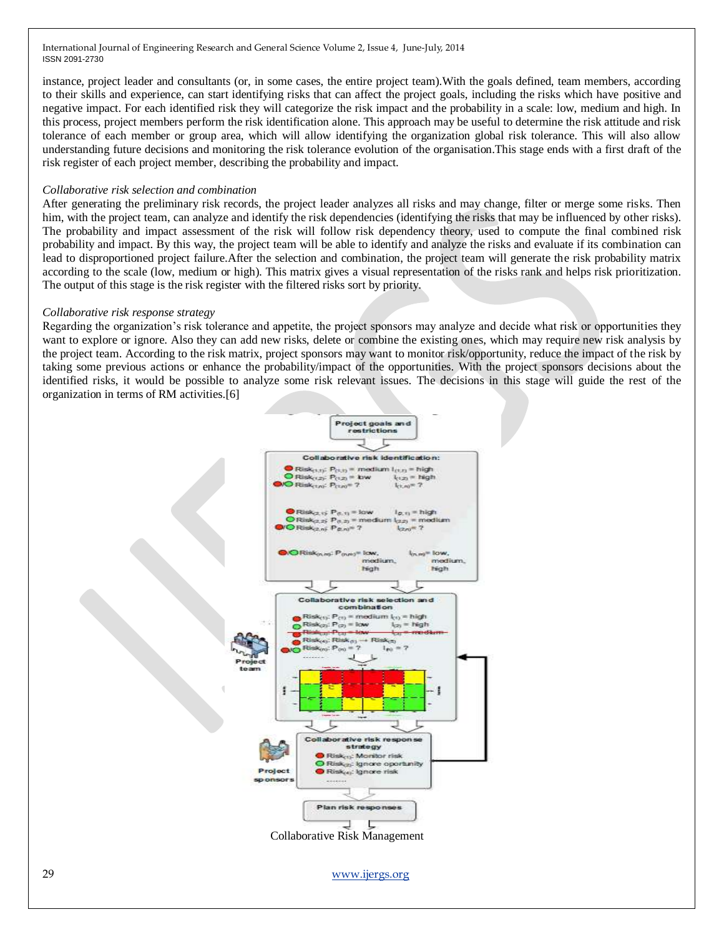instance, project leader and consultants (or, in some cases, the entire project team).With the goals defined, team members, according to their skills and experience, can start identifying risks that can affect the project goals, including the risks which have positive and negative impact. For each identified risk they will categorize the risk impact and the probability in a scale: low, medium and high. In this process, project members perform the risk identification alone. This approach may be useful to determine the risk attitude and risk tolerance of each member or group area, which will allow identifying the organization global risk tolerance. This will also allow understanding future decisions and monitoring the risk tolerance evolution of the organisation.This stage ends with a first draft of the risk register of each project member, describing the probability and impact.

#### *Collaborative risk selection and combination*

After generating the preliminary risk records, the project leader analyzes all risks and may change, filter or merge some risks. Then him, with the project team, can analyze and identify the risk dependencies (identifying the risks that may be influenced by other risks). The probability and impact assessment of the risk will follow risk dependency theory, used to compute the final combined risk probability and impact. By this way, the project team will be able to identify and analyze the risks and evaluate if its combination can lead to disproportioned project failure.After the selection and combination, the project team will generate the risk probability matrix according to the scale (low, medium or high). This matrix gives a visual representation of the risks rank and helps risk prioritization. The output of this stage is the risk register with the filtered risks sort by priority.

#### *Collaborative risk response strategy*

Regarding the organization's risk tolerance and appetite, the project sponsors may analyze and decide what risk or opportunities they want to explore or ignore. Also they can add new risks, delete or combine the existing ones, which may require new risk analysis by the project team. According to the risk matrix, project sponsors may want to monitor risk/opportunity, reduce the impact of the risk by taking some previous actions or enhance the probability/impact of the opportunities. With the project sponsors decisions about the identified risks, it would be possible to analyze some risk relevant issues. The decisions in this stage will guide the rest of the organization in terms of RM activities.[6]

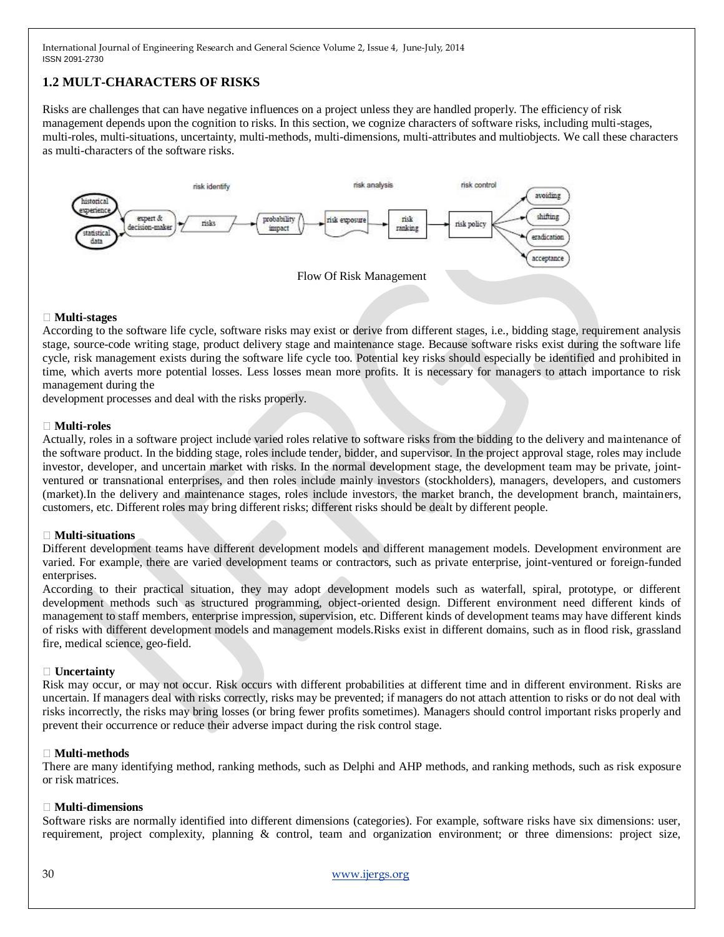# **1.2 MULT-CHARACTERS OF RISKS**

Risks are challenges that can have negative influences on a project unless they are handled properly. The efficiency of risk management depends upon the cognition to risks. In this section, we cognize characters of software risks, including multi-stages, multi-roles, multi-situations, uncertainty, multi-methods, multi-dimensions, multi-attributes and multiobjects. We call these characters as multi-characters of the software risks.



#### **Multi-stages**

According to the software life cycle, software risks may exist or derive from different stages, i.e., bidding stage, requirement analysis stage, source-code writing stage, product delivery stage and maintenance stage. Because software risks exist during the software life cycle, risk management exists during the software life cycle too. Potential key risks should especially be identified and prohibited in time, which averts more potential losses. Less losses mean more profits. It is necessary for managers to attach importance to risk management during the

development processes and deal with the risks properly.

#### **Multi-roles**

Actually, roles in a software project include varied roles relative to software risks from the bidding to the delivery and maintenance of the software product. In the bidding stage, roles include tender, bidder, and supervisor. In the project approval stage, roles may include investor, developer, and uncertain market with risks. In the normal development stage, the development team may be private, jointventured or transnational enterprises, and then roles include mainly investors (stockholders), managers, developers, and customers (market).In the delivery and maintenance stages, roles include investors, the market branch, the development branch, maintainers, customers, etc. Different roles may bring different risks; different risks should be dealt by different people.

#### **Multi-situations**

Different development teams have different development models and different management models. Development environment are varied. For example, there are varied development teams or contractors, such as private enterprise, joint-ventured or foreign-funded enterprises.

According to their practical situation, they may adopt development models such as waterfall, spiral, prototype, or different development methods such as structured programming, object-oriented design. Different environment need different kinds of management to staff members, enterprise impression, supervision, etc. Different kinds of development teams may have different kinds of risks with different development models and management models.Risks exist in different domains, such as in flood risk, grassland fire, medical science, geo-field.

#### **Uncertainty**

Risk may occur, or may not occur. Risk occurs with different probabilities at different time and in different environment. Risks are uncertain. If managers deal with risks correctly, risks may be prevented; if managers do not attach attention to risks or do not deal with risks incorrectly, the risks may bring losses (or bring fewer profits sometimes). Managers should control important risks properly and prevent their occurrence or reduce their adverse impact during the risk control stage.

#### **Multi-methods**

There are many identifying method, ranking methods, such as Delphi and AHP methods, and ranking methods, such as risk exposure or risk matrices.

#### **Multi-dimensions**

Software risks are normally identified into different dimensions (categories). For example, software risks have six dimensions: user, requirement, project complexity, planning & control, team and organization environment; or three dimensions: project size,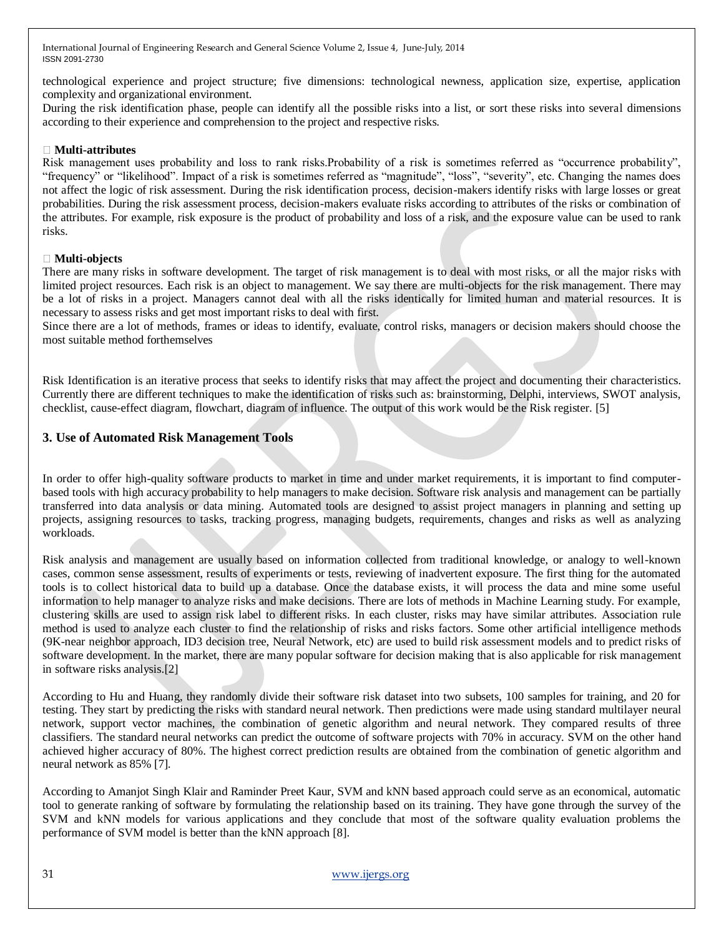technological experience and project structure; five dimensions: technological newness, application size, expertise, application complexity and organizational environment.

During the risk identification phase, people can identify all the possible risks into a list, or sort these risks into several dimensions according to their experience and comprehension to the project and respective risks.

#### **Multi-attributes**

Risk management uses probability and loss to rank risks.Probability of a risk is sometimes referred as "occurrence probability", "frequency" or "likelihood". Impact of a risk is sometimes referred as "magnitude", "loss", "severity", etc. Changing the names does not affect the logic of risk assessment. During the risk identification process, decision-makers identify risks with large losses or great probabilities. During the risk assessment process, decision-makers evaluate risks according to attributes of the risks or combination of the attributes. For example, risk exposure is the product of probability and loss of a risk, and the exposure value can be used to rank risks.

#### **Multi-objects**

There are many risks in software development. The target of risk management is to deal with most risks, or all the major risks with limited project resources. Each risk is an object to management. We say there are multi-objects for the risk management. There may be a lot of risks in a project. Managers cannot deal with all the risks identically for limited human and material resources. It is necessary to assess risks and get most important risks to deal with first.

Since there are a lot of methods, frames or ideas to identify, evaluate, control risks, managers or decision makers should choose the most suitable method forthemselves

Risk Identification is an iterative process that seeks to identify risks that may affect the project and documenting their characteristics. Currently there are different techniques to make the identification of risks such as: brainstorming, Delphi, interviews, SWOT analysis, checklist, cause-effect diagram, flowchart, diagram of influence. The output of this work would be the Risk register. [5]

#### **3. Use of Automated Risk Management Tools**

In order to offer high-quality software products to market in time and under market requirements, it is important to find computerbased tools with high accuracy probability to help managers to make decision. Software risk analysis and management can be partially transferred into data analysis or data mining. Automated tools are designed to assist project managers in planning and setting up projects, assigning resources to tasks, tracking progress, managing budgets, requirements, changes and risks as well as analyzing workloads.

Risk analysis and management are usually based on information collected from traditional knowledge, or analogy to well-known cases, common sense assessment, results of experiments or tests, reviewing of inadvertent exposure. The first thing for the automated tools is to collect historical data to build up a database. Once the database exists, it will process the data and mine some useful information to help manager to analyze risks and make decisions. There are lots of methods in Machine Learning study. For example, clustering skills are used to assign risk label to different risks. In each cluster, risks may have similar attributes. Association rule method is used to analyze each cluster to find the relationship of risks and risks factors. Some other artificial intelligence methods (9K-near neighbor approach, ID3 decision tree, Neural Network, etc) are used to build risk assessment models and to predict risks of software development. In the market, there are many popular software for decision making that is also applicable for risk management in software risks analysis.[2]

According to Hu and Huang, they randomly divide their software risk dataset into two subsets, 100 samples for training, and 20 for testing. They start by predicting the risks with standard neural network. Then predictions were made using standard multilayer neural network, support vector machines, the combination of genetic algorithm and neural network. They compared results of three classifiers. The standard neural networks can predict the outcome of software projects with 70% in accuracy. SVM on the other hand achieved higher accuracy of 80%. The highest correct prediction results are obtained from the combination of genetic algorithm and neural network as 85% [7].

According to Amanjot Singh Klair and Raminder Preet Kaur, SVM and kNN based approach could serve as an economical, automatic tool to generate ranking of software by formulating the relationship based on its training. They have gone through the survey of the SVM and kNN models for various applications and they conclude that most of the software quality evaluation problems the performance of SVM model is better than the kNN approach [8].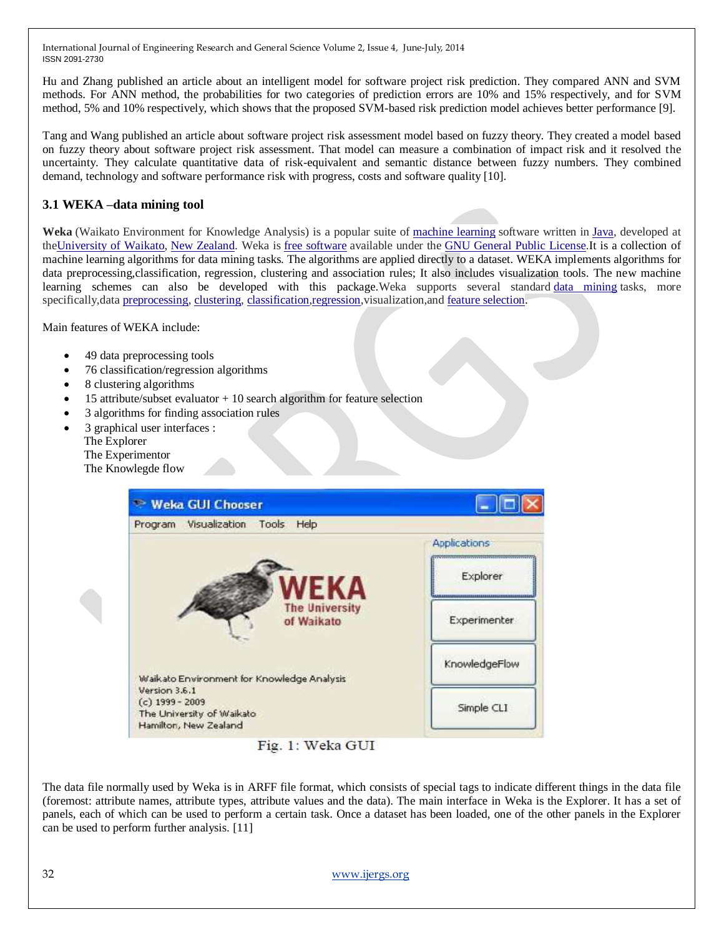Hu and Zhang published an article about an intelligent model for software project risk prediction. They compared ANN and SVM methods. For ANN method, the probabilities for two categories of prediction errors are 10% and 15% respectively, and for SVM method, 5% and 10% respectively, which shows that the proposed SVM-based risk prediction model achieves better performance [9].

Tang and Wang published an article about software project risk assessment model based on fuzzy theory. They created a model based on fuzzy theory about software project risk assessment. That model can measure a combination of impact risk and it resolved the uncertainty. They calculate quantitative data of risk-equivalent and semantic distance between fuzzy numbers. They combined demand, technology and software performance risk with progress, costs and software quality [10].

# **3.1 WEKA –data mining tool**

**Weka** (Waikato Environment for Knowledge Analysis) is a popular suite of [machine learning](http://en.wikipedia.org/wiki/Machine_learning) software written in [Java,](http://en.wikipedia.org/wiki/Java_(programming_language)) developed at th[eUniversity of Waikato,](http://en.wikipedia.org/wiki/University_of_Waikato) [New Zealand.](http://en.wikipedia.org/wiki/New_Zealand) Weka is [free software](http://en.wikipedia.org/wiki/Free_software) available under the [GNU General Public License.](http://en.wikipedia.org/wiki/GNU_General_Public_License)It is a collection of machine learning algorithms for data mining tasks. The algorithms are applied directly to a dataset. WEKA implements algorithms for data preprocessing,classification, regression, clustering and association rules; It also includes visualization tools. The new machine learning schemes can also be developed with this package.Weka supports several standard [data mining](http://en.wikipedia.org/wiki/Data_mining) tasks, more specifically,data [preprocessing,](http://en.wikipedia.org/wiki/Preprocessing) [clustering,](http://en.wikipedia.org/wiki/Data_clustering) [classification,](http://en.wikipedia.org/wiki/Statistical_classification)[regression,](http://en.wikipedia.org/wiki/Regression_analysis)visualization,and [feature selection.](http://en.wikipedia.org/wiki/Feature_selection)

Main features of WEKA include:

- 49 data preprocessing tools
- 76 classification/regression algorithms
- 8 clustering algorithms
- 15 attribute/subset evaluator  $+10$  search algorithm for feature selection
- 3 algorithms for finding association rules
- 3 graphical user interfaces : The Explorer The Experimentor The Knowlegde flow

| <b>Weka GUI Chooser</b>                                                                  |                                                       |  |  |
|------------------------------------------------------------------------------------------|-------------------------------------------------------|--|--|
| Visualization<br>Tools<br>Help<br>Program                                                |                                                       |  |  |
|                                                                                          | Applications<br>------------------------------------- |  |  |
| WEKA                                                                                     | Explorer                                              |  |  |
| <b>The University</b><br>of Waikato                                                      | Experimenter                                          |  |  |
| Waikato Environment for Knowledge Analysis                                               | KnowledgeFlow                                         |  |  |
| Version 3.6.1<br>$(c)$ 1999 - 2009<br>The University of Waikato<br>Hamilton, New Zealand | Simple CLI                                            |  |  |

# Fig. 1: Weka GUI

The data file normally used by Weka is in ARFF file format, which consists of special tags to indicate different things in the data file (foremost: attribute names, attribute types, attribute values and the data). The main interface in Weka is the Explorer. It has a set of panels, each of which can be used to perform a certain task. Once a dataset has been loaded, one of the other panels in the Explorer can be used to perform further analysis. [11]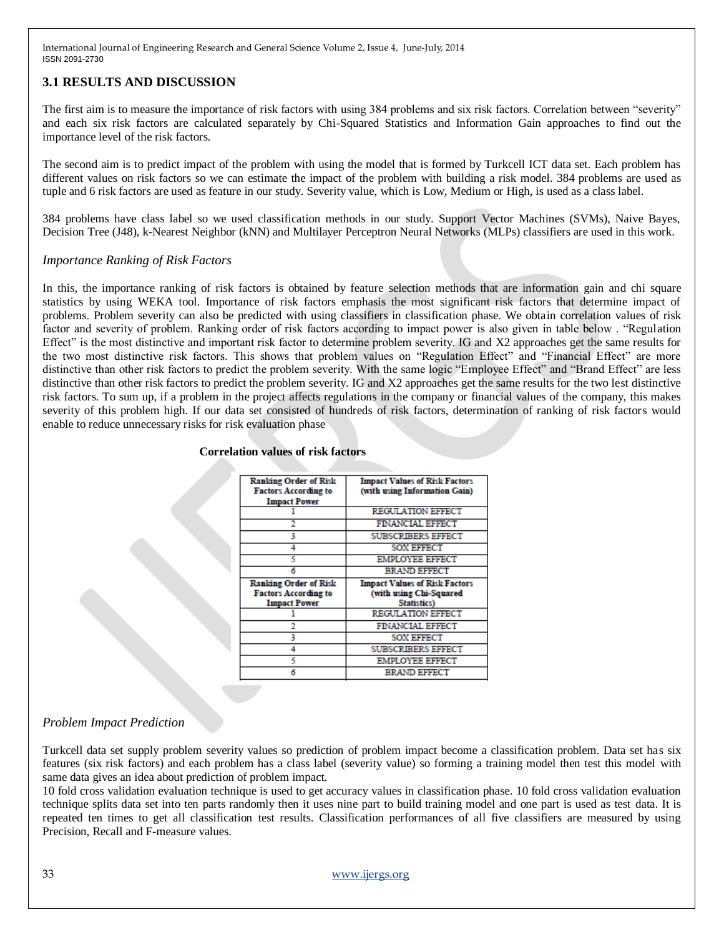## **3.1 RESULTS AND DISCUSSION**

The first aim is to measure the importance of risk factors with using 384 problems and six risk factors. Correlation between "severity" and each six risk factors are calculated separately by Chi-Squared Statistics and Information Gain approaches to find out the importance level of the risk factors.

The second aim is to predict impact of the problem with using the model that is formed by Turkcell ICT data set. Each problem has different values on risk factors so we can estimate the impact of the problem with building a risk model. 384 problems are used as tuple and 6 risk factors are used as feature in our study. Severity value, which is Low, Medium or High, is used as a class label.

384 problems have class label so we used classification methods in our study. Support Vector Machines (SVMs), Naive Bayes, Decision Tree (J48), k-Nearest Neighbor (kNN) and Multilayer Perceptron Neural Networks (MLPs) classifiers are used in this work.

#### *Importance Ranking of Risk Factors*

In this, the importance ranking of risk factors is obtained by feature selection methods that are information gain and chi square statistics by using WEKA tool. Importance of risk factors emphasis the most significant risk factors that determine impact of problems. Problem severity can also be predicted with using classifiers in classification phase. We obtain correlation values of risk factor and severity of problem. Ranking order of risk factors according to impact power is also given in table below. "Regulation Effect" is the most distinctive and important risk factor to determine problem severity. IG and X2 approaches get the same results for the two most distinctive risk factors. This shows that problem values on "Regulation Effect" and "Financial Effect" are more distinctive than other risk factors to predict the problem severity. With the same logic "Employee Effect" and "Brand Effect" are less distinctive than other risk factors to predict the problem severity. IG and X2 approaches get the same results for the two lest distinctive risk factors. To sum up, if a problem in the project affects regulations in the company or financial values of the company, this makes severity of this problem high. If our data set consisted of hundreds of risk factors, determination of ranking of risk factors would enable to reduce unnecessary risks for risk evaluation phase

| <b>Ranking Order of Risk</b> | <b>Impact Values of Risk Factors</b> |
|------------------------------|--------------------------------------|
| <b>Factors According to</b>  | (with using Information Gain)        |
| <b>Impact Power</b>          |                                      |
|                              | <b>REGULATION EFFECT</b>             |
|                              | FINANCIAL EFFECT                     |
|                              | <b>SUBSCRIBERS EFFECT</b>            |
|                              | <b>SOX EFFECT</b>                    |
|                              | <b>EMPLOYEE EFFECT</b>               |
| 6                            | <b>BRAND EFFECT</b>                  |
| <b>Ranking Order of Risk</b> | <b>Impact Values of Risk Factors</b> |
| <b>Factors According to</b>  | (with using Chi-Squared              |
| <b>Impact Power</b>          | Statistics)                          |
|                              | REGULATION EFFECT                    |
|                              | FINANCIAL EFFECT                     |
|                              | <b>SOX EFFECT</b>                    |
|                              | SI IRSCRIBERS EFFECT                 |

#### **Correlation values of risk factors**

5

6

#### *Problem Impact Prediction*

Turkcell data set supply problem severity values so prediction of problem impact become a classification problem. Data set has six features (six risk factors) and each problem has a class label (severity value) so forming a training model then test this model with same data gives an idea about prediction of problem impact.

**EMPLOYEE EFFECT BRAND EFFECT** 

10 fold cross validation evaluation technique is used to get accuracy values in classification phase. 10 fold cross validation evaluation technique splits data set into ten parts randomly then it uses nine part to build training model and one part is used as test data. It is repeated ten times to get all classification test results. Classification performances of all five classifiers are measured by using Precision, Recall and F-measure values.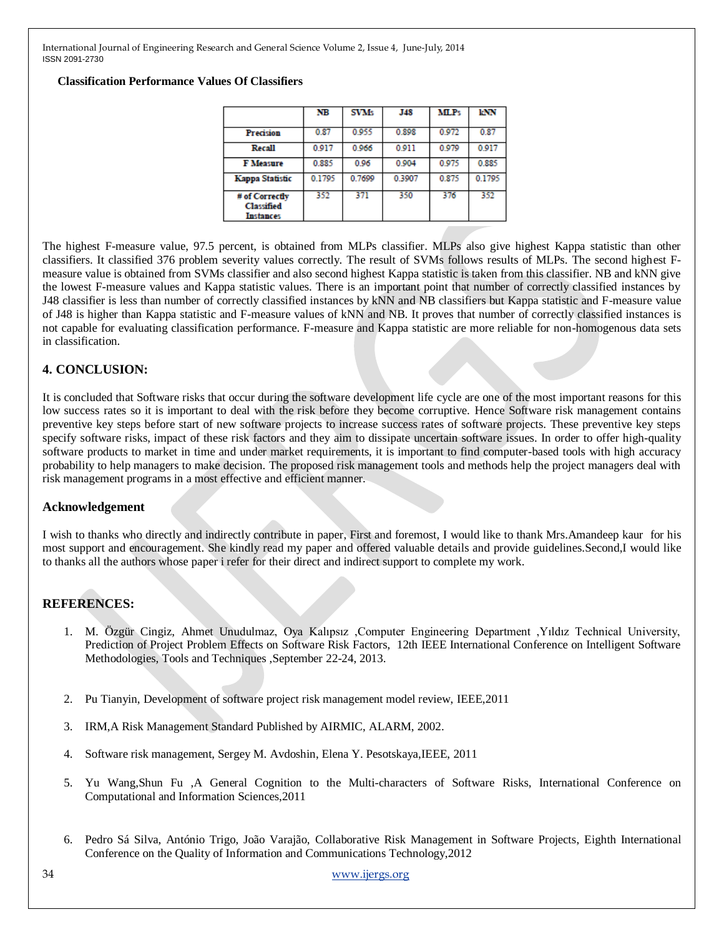#### **Classification Performance Values Of Classifiers**

|                                                  | NB     | <b>SVMs</b> | <b>J48</b> | <b>MLPs</b> | <b>IENN</b> |
|--------------------------------------------------|--------|-------------|------------|-------------|-------------|
| Precision                                        | 0.87   | 0.955       | 0.898      | 0.972       | 0.87        |
| Recall                                           | 0.917  | 0.966       | 0.911      | 0.979       | 0.917       |
| <b>F</b> Measure                                 | 0.885  | 0.96        | 0.904      | 0.975       | 0.885       |
| Kappa Statistic                                  | 0.1795 | 0.7699      | 0.3907     | 0.875       | 0.1795      |
| # of Correctly<br>Classified<br><b>Instances</b> | 352    | 371         | 350        | 376         | 352         |

The highest F-measure value, 97.5 percent, is obtained from MLPs classifier. MLPs also give highest Kappa statistic than other classifiers. It classified 376 problem severity values correctly. The result of SVMs follows results of MLPs. The second highest Fmeasure value is obtained from SVMs classifier and also second highest Kappa statistic is taken from this classifier. NB and kNN give the lowest F-measure values and Kappa statistic values. There is an important point that number of correctly classified instances by J48 classifier is less than number of correctly classified instances by kNN and NB classifiers but Kappa statistic and F-measure value of J48 is higher than Kappa statistic and F-measure values of kNN and NB. It proves that number of correctly classified instances is not capable for evaluating classification performance. F-measure and Kappa statistic are more reliable for non-homogenous data sets in classification.

# **4. CONCLUSION:**

It is concluded that Software risks that occur during the software development life cycle are one of the most important reasons for this low success rates so it is important to deal with the risk before they become corruptive. Hence Software risk management contains preventive key steps before start of new software projects to increase success rates of software projects. These preventive key steps specify software risks, impact of these risk factors and they aim to dissipate uncertain software issues. In order to offer high-quality software products to market in time and under market requirements, it is important to find computer-based tools with high accuracy probability to help managers to make decision. The proposed risk management tools and methods help the project managers deal with risk management programs in a most effective and efficient manner.

## **Acknowledgement**

I wish to thanks who directly and indirectly contribute in paper, First and foremost, I would like to thank Mrs.Amandeep kaur for his most support and encouragement. She kindly read my paper and offered valuable details and provide guidelines.Second,I would like to thanks all the authors whose paper i refer for their direct and indirect support to complete my work.

## **REFERENCES:**

- 1. M. Özgür Cingiz, Ahmet Unudulmaz, Oya Kalıpsız ,Computer Engineering Department ,Yıldız Technical University, Prediction of Project Problem Effects on Software Risk Factors, 12th IEEE International Conference on Intelligent Software Methodologies, Tools and Techniques ,September 22-24, 2013.
- 2. Pu Tianyin, Development of software project risk management model review, IEEE,2011
- 3. IRM,A Risk Management Standard Published by AIRMIC, ALARM, 2002.
- 4. Software risk management, Sergey M. Avdoshin, Elena Y. Pesotskaya,IEEE, 2011
- 5. Yu Wang,Shun Fu ,A General Cognition to the Multi-characters of Software Risks, International Conference on Computational and Information Sciences,2011
- 6. Pedro Sá Silva, António Trigo, João Varajão, Collaborative Risk Management in Software Projects, Eighth International Conference on the Quality of Information and Communications Technology,2012